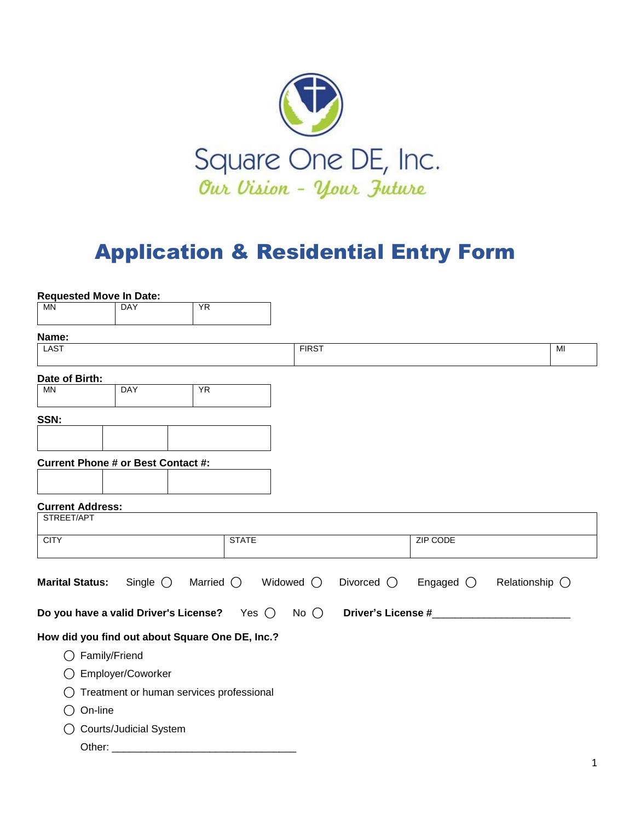

## Application & Residential Entry Form

| <b>Requested Move In Date:</b>        |                                           |                                                 |                    |                    |                    |                |
|---------------------------------------|-------------------------------------------|-------------------------------------------------|--------------------|--------------------|--------------------|----------------|
| <b>MN</b>                             | DAY                                       | <b>YR</b>                                       |                    |                    |                    |                |
| Name:                                 |                                           |                                                 |                    |                    |                    |                |
| <b>LAST</b>                           |                                           |                                                 | <b>FIRST</b>       |                    |                    | MI             |
| Date of Birth:                        |                                           |                                                 |                    |                    |                    |                |
| <b>MN</b>                             | <b>DAY</b>                                | <b>YR</b>                                       |                    |                    |                    |                |
| SSN:                                  |                                           |                                                 |                    |                    |                    |                |
|                                       |                                           |                                                 |                    |                    |                    |                |
|                                       | <b>Current Phone # or Best Contact #:</b> |                                                 |                    |                    |                    |                |
|                                       |                                           |                                                 |                    |                    |                    |                |
| <b>Current Address:</b><br>STREET/APT |                                           |                                                 |                    |                    |                    |                |
| <b>CITY</b>                           |                                           | <b>STATE</b>                                    |                    |                    | <b>ZIP CODE</b>    |                |
|                                       |                                           |                                                 |                    |                    |                    |                |
| <b>Marital Status:</b>                | Single $\bigcirc$                         | Married $\bigcirc$                              | Widowed $\bigcirc$ | Divorced $\bigcap$ | Engaged $\bigcirc$ | Relationship O |
|                                       |                                           | Do you have a valid Driver's License? Yes (     | No $\bigcirc$      |                    | Driver's License # |                |
|                                       |                                           | How did you find out about Square One DE, Inc.? |                    |                    |                    |                |
|                                       | Family/Friend                             |                                                 |                    |                    |                    |                |
|                                       | Employer/Coworker                         |                                                 |                    |                    |                    |                |
|                                       |                                           | Treatment or human services professional        |                    |                    |                    |                |
| On-line<br>()                         |                                           |                                                 |                    |                    |                    |                |
| ( )                                   | <b>Courts/Judicial System</b>             |                                                 |                    |                    |                    |                |
| Other:                                |                                           |                                                 |                    |                    |                    |                |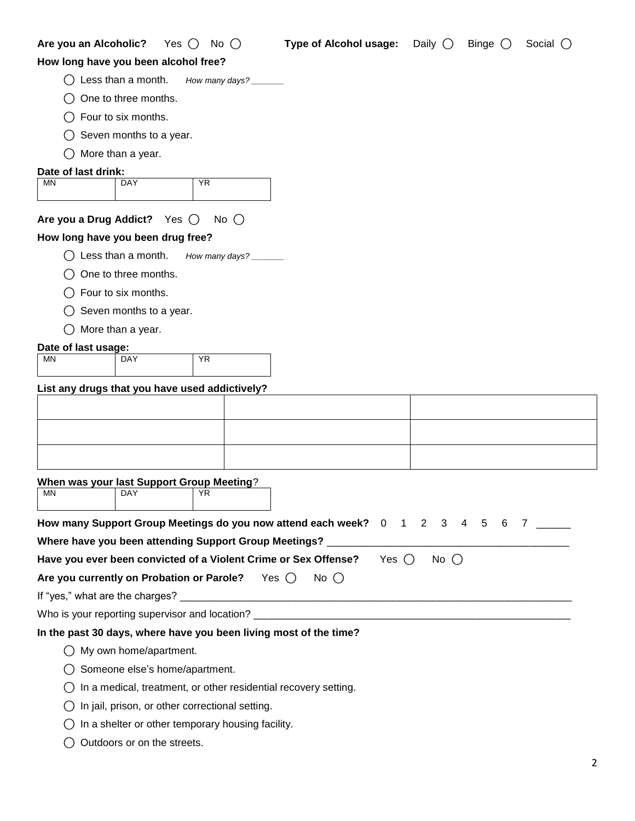| Are you an Alcoholic? | Yes $\bigcap$                                  | No $\bigcirc$                                           | <b>Type of Alcohol usage:</b>                                     | Daily $\bigcap$ | Binge $\bigcirc$ | Social $\bigcirc$                |
|-----------------------|------------------------------------------------|---------------------------------------------------------|-------------------------------------------------------------------|-----------------|------------------|----------------------------------|
|                       | How long have you been alcohol free?           |                                                         |                                                                   |                 |                  |                                  |
|                       | Less than a month.                             | How many days?                                          |                                                                   |                 |                  |                                  |
|                       | One to three months.                           |                                                         |                                                                   |                 |                  |                                  |
|                       | Four to six months.                            |                                                         |                                                                   |                 |                  |                                  |
|                       | Seven months to a year.                        |                                                         |                                                                   |                 |                  |                                  |
|                       | More than a year.                              |                                                         |                                                                   |                 |                  |                                  |
| Date of last drink:   |                                                |                                                         |                                                                   |                 |                  |                                  |
| <b>MN</b>             | <b>DAY</b>                                     | <b>YR</b>                                               |                                                                   |                 |                  |                                  |
|                       |                                                |                                                         |                                                                   |                 |                  |                                  |
|                       | Are you a Drug Addict? Yes $\bigcirc$          | No $\bigcirc$                                           |                                                                   |                 |                  |                                  |
|                       | How long have you been drug free?              |                                                         |                                                                   |                 |                  |                                  |
|                       | Less than a month.                             | How many days? _______                                  |                                                                   |                 |                  |                                  |
|                       | One to three months.                           |                                                         |                                                                   |                 |                  |                                  |
|                       | Four to six months.                            |                                                         |                                                                   |                 |                  |                                  |
|                       | Seven months to a year.                        |                                                         |                                                                   |                 |                  |                                  |
|                       | More than a year.                              |                                                         |                                                                   |                 |                  |                                  |
| Date of last usage:   |                                                |                                                         |                                                                   |                 |                  |                                  |
| MN                    | DAY                                            | <b>YR</b>                                               |                                                                   |                 |                  |                                  |
|                       | List any drugs that you have used addictively? |                                                         |                                                                   |                 |                  |                                  |
|                       |                                                |                                                         |                                                                   |                 |                  |                                  |
|                       |                                                |                                                         |                                                                   |                 |                  |                                  |
|                       |                                                |                                                         |                                                                   |                 |                  |                                  |
|                       |                                                |                                                         |                                                                   |                 |                  |                                  |
|                       | When was your last Support Group Meeting?      |                                                         |                                                                   |                 |                  |                                  |
| ΜN                    | DAY                                            | YR.                                                     |                                                                   |                 |                  |                                  |
|                       |                                                |                                                         |                                                                   | 3               | 4 5 6            |                                  |
|                       |                                                |                                                         | How many Support Group Meetings do you now attend each week? 0    | $1\quad 2$      |                  | $7 \quad \overline{\phantom{1}}$ |
|                       |                                                | Where have you been attending Support Group Meetings? _ | Yes $\bigcap$                                                     |                 |                  |                                  |
|                       |                                                |                                                         | Have you ever been convicted of a Violent Crime or Sex Offense?   | No $\bigcirc$   |                  |                                  |
|                       | Are you currently on Probation or Parole?      |                                                         | Yes $\bigcap$<br>No $\bigcirc$                                    |                 |                  |                                  |
|                       |                                                |                                                         |                                                                   |                 |                  |                                  |
|                       |                                                |                                                         |                                                                   |                 |                  |                                  |
|                       |                                                |                                                         | In the past 30 days, where have you been living most of the time? |                 |                  |                                  |
|                       | $\bigcirc$ My own home/apartment.              |                                                         |                                                                   |                 |                  |                                  |
|                       | ◯ Someone else's home/apartment.               |                                                         |                                                                   |                 |                  |                                  |

- $\bigcirc$  In a medical, treatment, or other residential recovery setting.
- $\bigcirc$  In jail, prison, or other correctional setting.
- $\bigcirc$  In a shelter or other temporary housing facility.
- ◯ Outdoors or on the streets.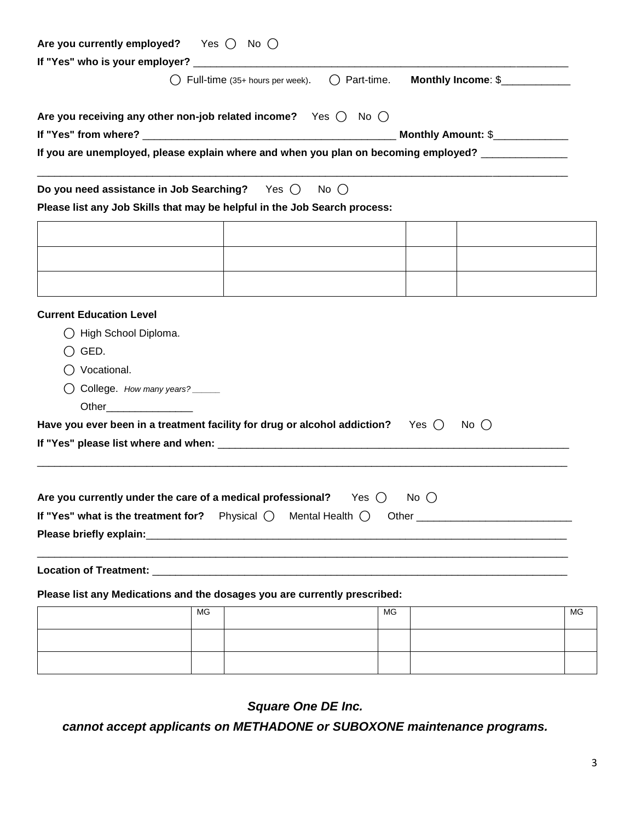| Are you currently employed? Yes $\bigcirc$ No $\bigcirc$                                               |    |  |    |  |                                |    |  |
|--------------------------------------------------------------------------------------------------------|----|--|----|--|--------------------------------|----|--|
|                                                                                                        |    |  |    |  |                                |    |  |
| ◯ Full-time (35+ hours per week). ◯ Part-time.<br>Monthly Income: \$                                   |    |  |    |  |                                |    |  |
| Are you receiving any other non-job related income? Yes $\bigcirc$ No $\bigcirc$                       |    |  |    |  |                                |    |  |
|                                                                                                        |    |  |    |  | Monthly Amount: \$____________ |    |  |
| If you are unemployed, please explain where and when you plan on becoming employed? ______________     |    |  |    |  |                                |    |  |
| Do you need assistance in Job Searching? Yes $\bigcirc$ No $\bigcirc$                                  |    |  |    |  |                                |    |  |
| Please list any Job Skills that may be helpful in the Job Search process:                              |    |  |    |  |                                |    |  |
|                                                                                                        |    |  |    |  |                                |    |  |
|                                                                                                        |    |  |    |  |                                |    |  |
|                                                                                                        |    |  |    |  |                                |    |  |
|                                                                                                        |    |  |    |  |                                |    |  |
|                                                                                                        |    |  |    |  |                                |    |  |
| <b>Current Education Level</b>                                                                         |    |  |    |  |                                |    |  |
| ◯ High School Diploma.                                                                                 |    |  |    |  |                                |    |  |
| $\bigcirc$ GED.                                                                                        |    |  |    |  |                                |    |  |
| ◯ Vocational.                                                                                          |    |  |    |  |                                |    |  |
| ◯ College. How many years?                                                                             |    |  |    |  |                                |    |  |
| Other__________________                                                                                |    |  |    |  |                                |    |  |
| Have you ever been in a treatment facility for drug or alcohol addiction? Yes $\bigcirc$ No $\bigcirc$ |    |  |    |  |                                |    |  |
|                                                                                                        |    |  |    |  |                                |    |  |
|                                                                                                        |    |  |    |  |                                |    |  |
|                                                                                                        |    |  |    |  |                                |    |  |
| Are you currently under the care of a medical professional? Yes $\bigcirc$ No $\bigcirc$               |    |  |    |  |                                |    |  |
|                                                                                                        |    |  |    |  |                                |    |  |
|                                                                                                        |    |  |    |  |                                |    |  |
|                                                                                                        |    |  |    |  |                                |    |  |
|                                                                                                        |    |  |    |  |                                |    |  |
| Please list any Medications and the dosages you are currently prescribed:                              | MG |  | MG |  |                                | MG |  |
|                                                                                                        |    |  |    |  |                                |    |  |
|                                                                                                        |    |  |    |  |                                |    |  |
|                                                                                                        |    |  |    |  |                                |    |  |

*Square One DE Inc.*

*cannot accept applicants on METHADONE or SUBOXONE maintenance programs.*